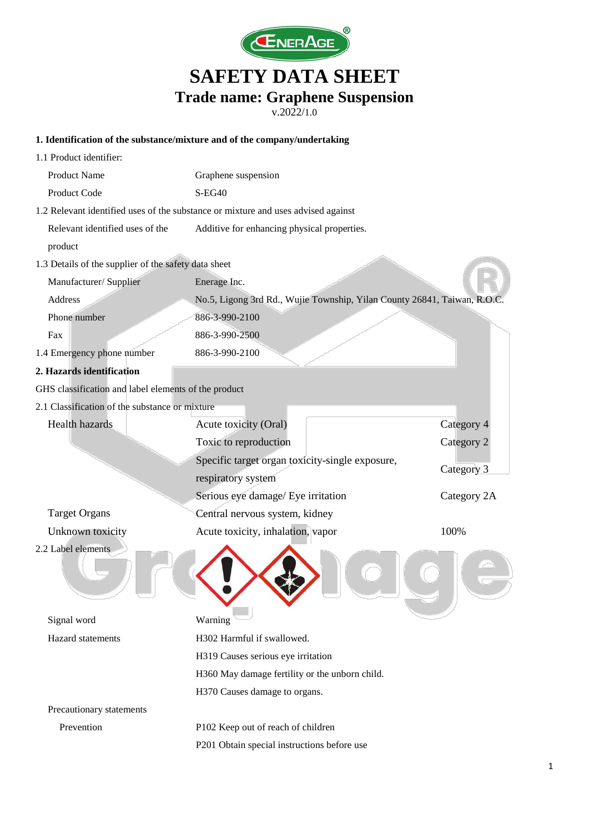

v.2022/1.0

#### **1. Identification of the substance/mixture and of the company/undertaking**

| 1.1 Product identifier:                              |                                                                                   |             |
|------------------------------------------------------|-----------------------------------------------------------------------------------|-------------|
| <b>Product Name</b>                                  | Graphene suspension                                                               |             |
| Product Code                                         | $S-EG40$                                                                          |             |
|                                                      | 1.2 Relevant identified uses of the substance or mixture and uses advised against |             |
| Relevant identified uses of the                      | Additive for enhancing physical properties.                                       |             |
| product                                              |                                                                                   |             |
| 1.3 Details of the supplier of the safety data sheet |                                                                                   |             |
| Manufacturer/ Supplier                               | Enerage Inc.                                                                      |             |
| Address                                              | No.5, Ligong 3rd Rd., Wujie Township, Yilan County 26841, Taiwan, R.O             |             |
| Phone number                                         | 886-3-990-2100                                                                    |             |
| Fax                                                  | 886-3-990-2500                                                                    |             |
| 1.4 Emergency phone number                           | 886-3-990-2100                                                                    |             |
| 2. Hazards identification                            |                                                                                   |             |
| GHS classification and label elements of the product |                                                                                   |             |
| 2.1 Classification of the substance or mixture       |                                                                                   |             |
| <b>Health hazards</b>                                | Acute toxicity (Oral)                                                             | Category 4  |
|                                                      | Toxic to reproduction                                                             | Category 2  |
|                                                      | Specific target organ toxicity-single exposure,                                   | Category 3  |
|                                                      | respiratory system                                                                |             |
|                                                      | Serious eye damage/ Eye irritation                                                | Category 2A |
| <b>Target Organs</b>                                 | Central nervous system, kidney                                                    |             |
| Unknown toxicity                                     | Acute toxicity, inhalation, vapor                                                 | 100%        |
| 2.2 Label elements                                   |                                                                                   |             |
| Signal word                                          | Warning                                                                           |             |
| Hazard statements                                    | H302 Harmful if swallowed.                                                        |             |
|                                                      | H319 Causes serious eye irritation                                                |             |
|                                                      | H360 May damage fertility or the unborn child.                                    |             |
|                                                      | H370 Causes damage to organs.                                                     |             |
| Precautionary statements                             |                                                                                   |             |
| Prevention                                           | P102 Keep out of reach of children                                                |             |
|                                                      | P201 Obtain special instructions before use                                       |             |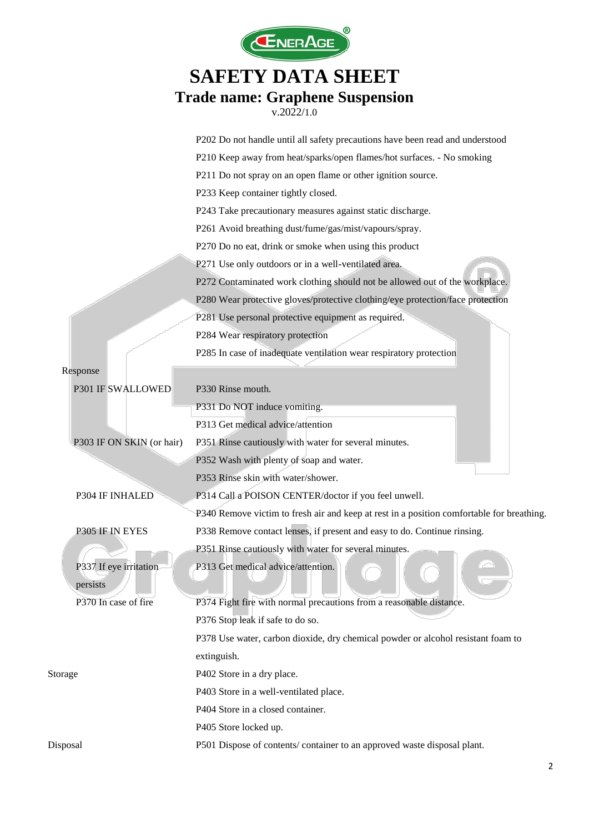

|                           | P202 Do not handle until all safety precautions have been read and understood             |
|---------------------------|-------------------------------------------------------------------------------------------|
|                           | P210 Keep away from heat/sparks/open flames/hot surfaces. - No smoking                    |
|                           | P211 Do not spray on an open flame or other ignition source.                              |
|                           | P233 Keep container tightly closed.                                                       |
|                           | P243 Take precautionary measures against static discharge.                                |
|                           | P261 Avoid breathing dust/fume/gas/mist/vapours/spray.                                    |
|                           | P270 Do no eat, drink or smoke when using this product                                    |
|                           | P271 Use only outdoors or in a well-ventilated area.                                      |
|                           | P272 Contaminated work clothing should not be allowed out of the workplace.               |
|                           | P280 Wear protective gloves/protective clothing/eye protection/face protection            |
|                           | P281 Use personal protective equipment as required.                                       |
|                           | P284 Wear respiratory protection                                                          |
|                           | P285 In case of inadequate ventilation wear respiratory protection                        |
| Response                  |                                                                                           |
| P301 IF SWALLOWED         | P330 Rinse mouth.                                                                         |
|                           | P331 Do NOT induce vomiting.                                                              |
|                           | P313 Get medical advice/attention                                                         |
| P303 IF ON SKIN (or hair) | P351 Rinse cautiously with water for several minutes.                                     |
|                           | P352 Wash with plenty of soap and water.                                                  |
|                           | P353 Rinse skin with water/shower.                                                        |
| P304 IF INHALED           | P314 Call a POISON CENTER/doctor if you feel unwell.                                      |
|                           | P340 Remove victim to fresh air and keep at rest in a position comfortable for breathing. |
| P305 IF IN EYES           | P338 Remove contact lenses, if present and easy to do. Continue rinsing.                  |
|                           | P351 Rinse cautiously with water for several minutes.                                     |
| P337 If eye irritation    | P313 Get medical advice/attention.                                                        |
| persists                  |                                                                                           |
| P370 In case of fire      | P374 Fight fire with normal precautions from a reasonable distance.                       |
|                           | P376 Stop leak if safe to do so.                                                          |
|                           | P378 Use water, carbon dioxide, dry chemical powder or alcohol resistant foam to          |
|                           | extinguish.                                                                               |
| Storage                   | P402 Store in a dry place.                                                                |
|                           | P403 Store in a well-ventilated place.                                                    |
|                           | P404 Store in a closed container.                                                         |
|                           | P405 Store locked up.                                                                     |
| Disposal                  | P501 Dispose of contents/ container to an approved waste disposal plant.                  |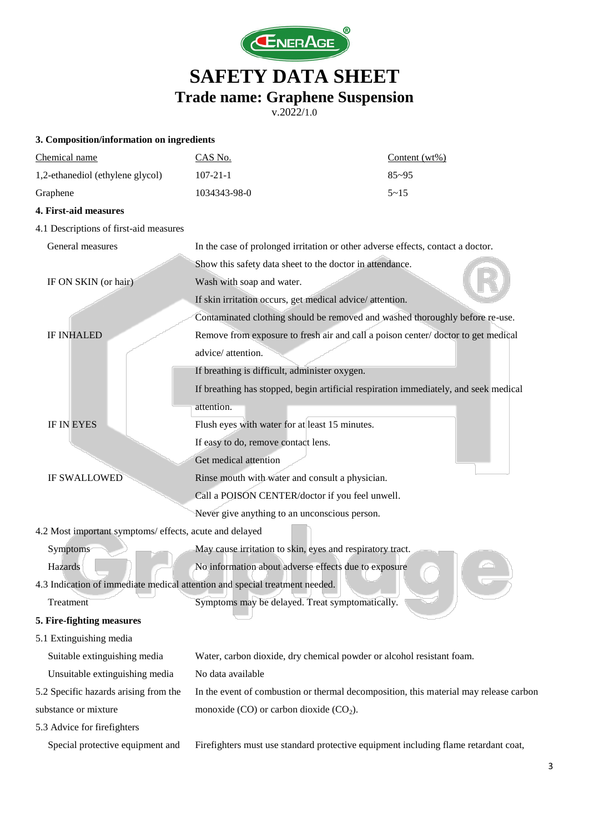

| 3. Composition/information on ingredients                                   |                                                                                       |                  |
|-----------------------------------------------------------------------------|---------------------------------------------------------------------------------------|------------------|
| Chemical name                                                               | CAS No.                                                                               | Content $(wt\%)$ |
| 1,2-ethanediol (ethylene glycol)                                            | $107 - 21 - 1$                                                                        | $85 - 95$        |
| Graphene                                                                    | 1034343-98-0                                                                          | $5 - 15$         |
| 4. First-aid measures                                                       |                                                                                       |                  |
| 4.1 Descriptions of first-aid measures                                      |                                                                                       |                  |
| General measures                                                            | In the case of prolonged irritation or other adverse effects, contact a doctor.       |                  |
|                                                                             | Show this safety data sheet to the doctor in attendance.                              |                  |
| IF ON SKIN (or hair)                                                        | Wash with soap and water.                                                             |                  |
|                                                                             | If skin irritation occurs, get medical advice/attention.                              |                  |
|                                                                             | Contaminated clothing should be removed and washed thoroughly before re-use.          |                  |
| <b>IF INHALED</b>                                                           | Remove from exposure to fresh air and call a poison center/doctor to get medical      |                  |
|                                                                             | advice/ attention.                                                                    |                  |
|                                                                             | If breathing is difficult, administer oxygen.                                         |                  |
|                                                                             | If breathing has stopped, begin artificial respiration immediately, and seek medical  |                  |
|                                                                             | attention.                                                                            |                  |
| <b>IF IN EYES</b>                                                           | Flush eyes with water for at least 15 minutes.                                        |                  |
|                                                                             | If easy to do, remove contact lens.                                                   |                  |
|                                                                             | Get medical attention                                                                 |                  |
| <b>IF SWALLOWED</b>                                                         | Rinse mouth with water and consult a physician.                                       |                  |
|                                                                             | Call a POISON CENTER/doctor if you feel unwell.                                       |                  |
|                                                                             | Never give anything to an unconscious person.                                         |                  |
| 4.2 Most important symptoms/ effects, acute and delayed                     |                                                                                       |                  |
| Symptoms                                                                    | May cause irritation to skin, eyes and respiratory tract.                             |                  |
| Hazards                                                                     | No information about adverse effects due to exposure                                  |                  |
| 4.3 Indication of immediate medical attention and special treatment needed. |                                                                                       |                  |
| Treatment                                                                   | Symptoms may be delayed. Treat symptomatically.                                       |                  |
| 5. Fire-fighting measures                                                   |                                                                                       |                  |
| 5.1 Extinguishing media                                                     |                                                                                       |                  |
| Suitable extinguishing media                                                | Water, carbon dioxide, dry chemical powder or alcohol resistant foam.                 |                  |
| Unsuitable extinguishing media                                              | No data available                                                                     |                  |
| 5.2 Specific hazards arising from the                                       | In the event of combustion or thermal decomposition, this material may release carbon |                  |
| substance or mixture                                                        | monoxide $(CO)$ or carbon dioxide $(CO2)$ .                                           |                  |
| 5.3 Advice for firefighters                                                 |                                                                                       |                  |
| Special protective equipment and                                            | Firefighters must use standard protective equipment including flame retardant coat,   |                  |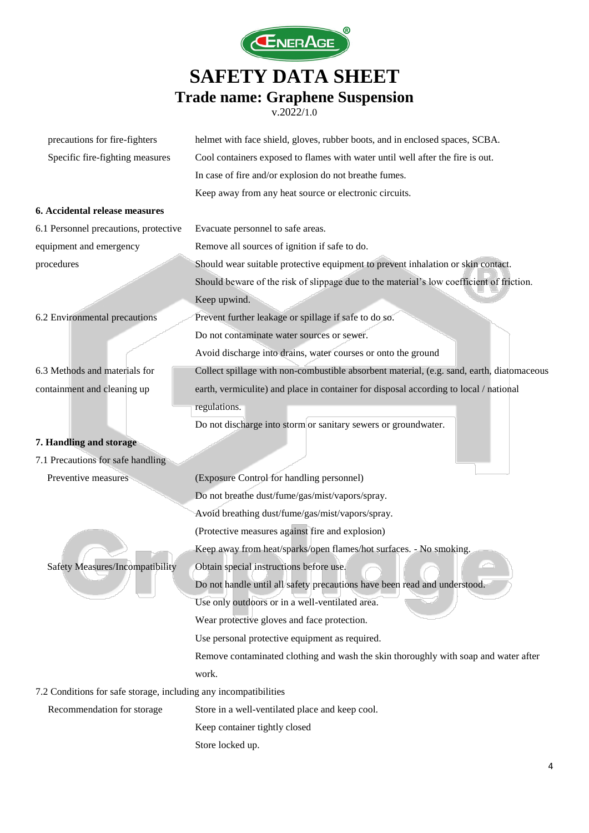

| precautions for fire-fighters                                    | helmet with face shield, gloves, rubber boots, and in enclosed spaces, SCBA.              |  |
|------------------------------------------------------------------|-------------------------------------------------------------------------------------------|--|
| Specific fire-fighting measures                                  | Cool containers exposed to flames with water until well after the fire is out.            |  |
|                                                                  | In case of fire and/or explosion do not breathe fumes.                                    |  |
|                                                                  | Keep away from any heat source or electronic circuits.                                    |  |
| 6. Accidental release measures                                   |                                                                                           |  |
| 6.1 Personnel precautions, protective                            | Evacuate personnel to safe areas.                                                         |  |
| equipment and emergency                                          | Remove all sources of ignition if safe to do.                                             |  |
| procedures                                                       | Should wear suitable protective equipment to prevent inhalation or skin contact.          |  |
|                                                                  | Should beware of the risk of slippage due to the material's low coefficient of friction.  |  |
|                                                                  | Keep upwind.                                                                              |  |
| 6.2 Environmental precautions                                    | Prevent further leakage or spillage if safe to do so.                                     |  |
|                                                                  | Do not contaminate water sources or sewer.                                                |  |
|                                                                  | Avoid discharge into drains, water courses or onto the ground                             |  |
| 6.3 Methods and materials for                                    | Collect spillage with non-combustible absorbent material, (e.g. sand, earth, diatomaceous |  |
| containment and cleaning up                                      | earth, vermiculite) and place in container for disposal according to local / national     |  |
|                                                                  | regulations.                                                                              |  |
|                                                                  | Do not discharge into storm or sanitary sewers or groundwater.                            |  |
| 7. Handling and storage                                          |                                                                                           |  |
| 7.1 Precautions for safe handling                                |                                                                                           |  |
| Preventive measures                                              | (Exposure Control for handling personnel)                                                 |  |
|                                                                  | Do not breathe dust/fume/gas/mist/vapors/spray.                                           |  |
|                                                                  | Avoid breathing dust/fume/gas/mist/vapors/spray.                                          |  |
|                                                                  | (Protective measures against fire and explosion)                                          |  |
|                                                                  | Keep away from heat/sparks/open flames/hot surfaces. - No smoking.                        |  |
| <b>Safety Measures/Incompatibility</b>                           | Obtain special instructions before use.                                                   |  |
|                                                                  | Do not handle until all safety precautions have been read and understood.                 |  |
|                                                                  | Use only outdoors or in a well-ventilated area.                                           |  |
|                                                                  | Wear protective gloves and face protection.                                               |  |
|                                                                  | Use personal protective equipment as required.                                            |  |
|                                                                  | Remove contaminated clothing and wash the skin thoroughly with soap and water after       |  |
|                                                                  | work.                                                                                     |  |
| 7.2 Conditions for safe storage, including any incompatibilities |                                                                                           |  |
| Recommendation for storage                                       | Store in a well-ventilated place and keep cool.                                           |  |
|                                                                  | Keep container tightly closed                                                             |  |
|                                                                  | Store locked up.                                                                          |  |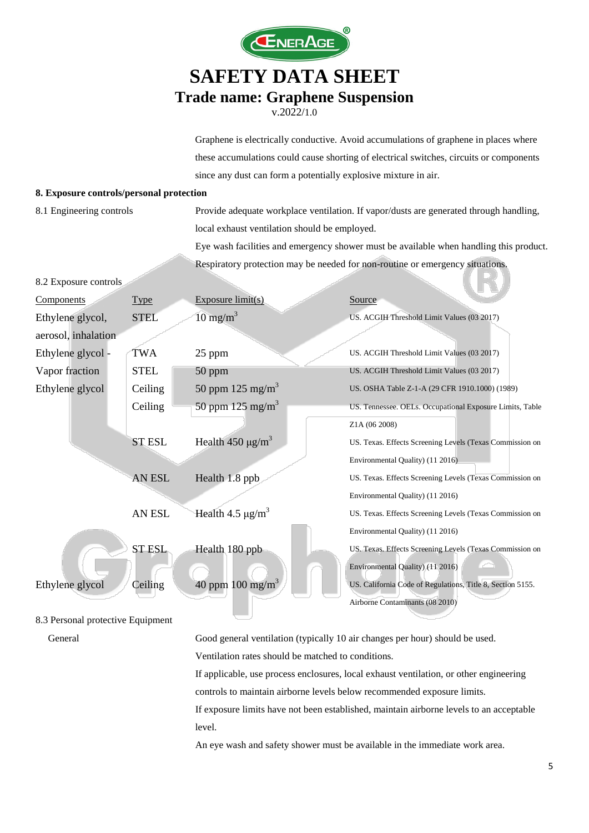

v.2022/1.0

Graphene is electrically conductive. Avoid accumulations of graphene in places where these accumulations could cause shorting of electrical switches, circuits or components since any dust can form a potentially explosive mixture in air.

#### **8. Exposure controls/personal protection**

8.2 Exposure controls

8.1 Engineering controls Provide adequate workplace ventilation. If vapor/dusts are generated through handling, local exhaust ventilation should be employed.

> Eye wash facilities and emergency shower must be available when handling this product. Respiratory protection may be needed for non-routine or emergency situations.

| Components          | <b>Type</b>   | Exposure limit(s)                 | Source                                                     |
|---------------------|---------------|-----------------------------------|------------------------------------------------------------|
| Ethylene glycol,    | <b>STEL</b>   | $10 \text{ mg/m}^3$               | US. ACGIH Threshold Limit Values (03 2017)                 |
| aerosol, inhalation |               |                                   |                                                            |
| Ethylene glycol -   | <b>TWA</b>    | 25 ppm                            | US. ACGIH Threshold Limit Values (03 2017)                 |
| Vapor fraction      | <b>STEL</b>   | $50$ ppm                          | US. ACGIH Threshold Limit Values (03 2017)                 |
| Ethylene glycol     | Ceiling       | 50 ppm $125 \text{ mg/m}^3$       | US. OSHA Table Z-1-A (29 CFR 1910.1000) (1989)             |
|                     | Ceiling       | 50 ppm 125 mg/m <sup>3</sup>      | US. Tennessee. OELs. Occupational Exposure Limits, Table   |
|                     |               |                                   | Z1A (06 2008)                                              |
|                     | <b>ST ESL</b> | Health 450 $\mu$ g/m <sup>3</sup> | US. Texas. Effects Screening Levels (Texas Commission on   |
|                     |               |                                   | Environmental Quality) (11 2016)                           |
|                     | AN ESL        | Health 1.8 ppb                    | US. Texas. Effects Screening Levels (Texas Commission on   |
|                     |               |                                   | Environmental Quality) (11 2016)                           |
|                     | AN ESL        | Health 4.5 $\mu$ g/m <sup>3</sup> | US. Texas. Effects Screening Levels (Texas Commission on   |
|                     |               |                                   | Environmental Quality) (11 2016)                           |
|                     | <b>ST ESL</b> | Health 180 ppb                    | US. Texas. Effects Screening Levels (Texas Commission on   |
|                     |               |                                   | Environmental Quality) (11 2016)                           |
| Ethylene glycol     | Ceiling       | 40 ppm 100 mg/m <sup>3</sup>      | US. California Code of Regulations, Title 8, Section 5155. |
|                     |               |                                   | Airborne Contaminants (08 2010)                            |

#### 8.3 Personal protective Equipment

General Good general ventilation (typically 10 air changes per hour) should be used.

Ventilation rates should be matched to conditions.

If applicable, use process enclosures, local exhaust ventilation, or other engineering

controls to maintain airborne levels below recommended exposure limits.

If exposure limits have not been established, maintain airborne levels to an acceptable level.

An eye wash and safety shower must be available in the immediate work area.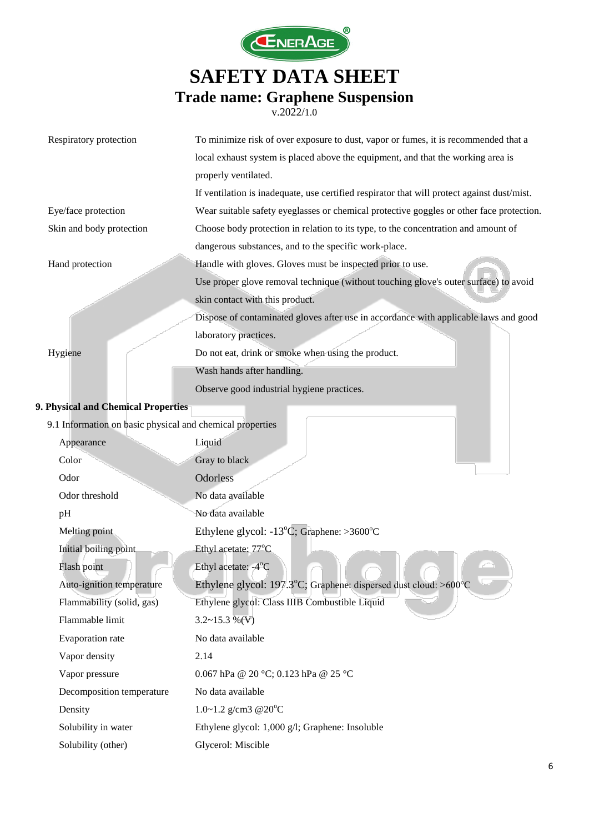

| Respiratory protection                                    | To minimize risk of over exposure to dust, vapor or fumes, it is recommended that a         |
|-----------------------------------------------------------|---------------------------------------------------------------------------------------------|
|                                                           | local exhaust system is placed above the equipment, and that the working area is            |
|                                                           | properly ventilated.                                                                        |
|                                                           | If ventilation is inadequate, use certified respirator that will protect against dust/mist. |
| Eye/face protection                                       | Wear suitable safety eyeglasses or chemical protective goggles or other face protection.    |
| Skin and body protection                                  | Choose body protection in relation to its type, to the concentration and amount of          |
|                                                           | dangerous substances, and to the specific work-place.                                       |
| Hand protection                                           | Handle with gloves. Gloves must be inspected prior to use.                                  |
|                                                           | Use proper glove removal technique (without touching glove's outer surface) to avoid        |
|                                                           | skin contact with this product.                                                             |
|                                                           | Dispose of contaminated gloves after use in accordance with applicable laws and good        |
|                                                           | laboratory practices.                                                                       |
| Hygiene                                                   | Do not eat, drink or smoke when using the product.                                          |
|                                                           | Wash hands after handling.                                                                  |
|                                                           | Observe good industrial hygiene practices.                                                  |
| 9. Physical and Chemical Properties                       |                                                                                             |
| 9.1 Information on basic physical and chemical properties |                                                                                             |
| Appearance                                                | Liquid                                                                                      |
| Color                                                     | Gray to black                                                                               |
| Odor                                                      | Odorless                                                                                    |
| Odor threshold                                            | No data available                                                                           |
| pH                                                        | No data available                                                                           |
| Melting point                                             | Ethylene glycol: $-13^{\circ}$ C; Graphene: $>3600^{\circ}$ C                               |
| Initial boiling point                                     | Ethyl acetate: 77°C                                                                         |
| Flash point                                               | Ethyl acetate: -4°C                                                                         |
| Auto-ignition temperature                                 | Ethylene glycol: 197.3°C; Graphene: dispersed dust cloud: >600°C                            |
| Flammability (solid, gas)                                 | Ethylene glycol: Class IIIB Combustible Liquid                                              |
| Flammable limit                                           | $3.2 \sim 15.3 \%$ (V)                                                                      |
| Evaporation rate                                          | No data available                                                                           |
| Vapor density                                             | 2.14                                                                                        |
| Vapor pressure                                            | 0.067 hPa @ 20 °C; 0.123 hPa @ 25 °C                                                        |
| Decomposition temperature                                 | No data available                                                                           |
| Density                                                   | 1.0~1.2 g/cm3 $@20^{\circ}C$                                                                |
| Solubility in water                                       | Ethylene glycol: 1,000 g/l; Graphene: Insoluble                                             |
| Solubility (other)                                        | Glycerol: Miscible                                                                          |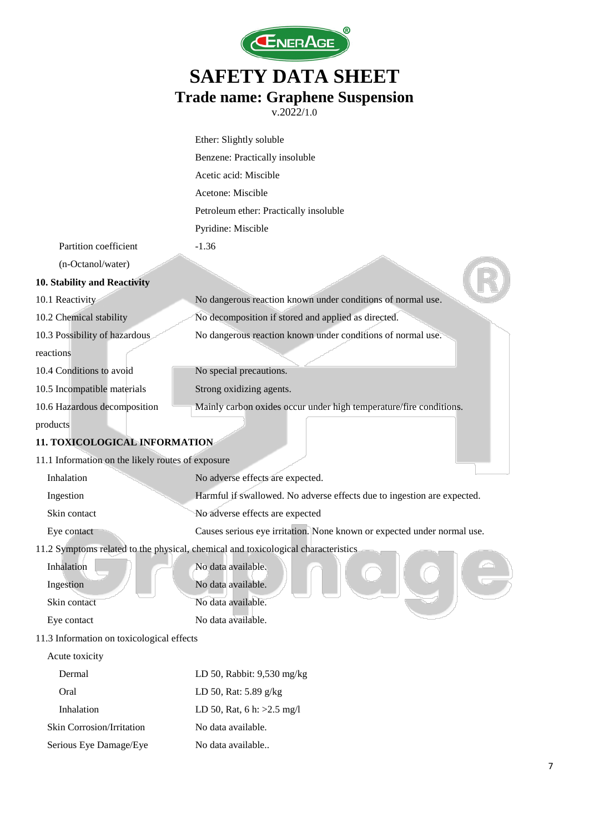

|                                                   | Ether: Slightly soluble                                                           |
|---------------------------------------------------|-----------------------------------------------------------------------------------|
|                                                   | Benzene: Practically insoluble                                                    |
|                                                   | Acetic acid: Miscible                                                             |
|                                                   | Acetone: Miscible                                                                 |
|                                                   | Petroleum ether: Practically insoluble                                            |
|                                                   | Pyridine: Miscible                                                                |
| Partition coefficient                             | $-1.36$                                                                           |
| (n-Octanol/water)                                 |                                                                                   |
| 10. Stability and Reactivity                      |                                                                                   |
| 10.1 Reactivity                                   | No dangerous reaction known under conditions of normal use.                       |
| 10.2 Chemical stability                           | No decomposition if stored and applied as directed.                               |
| 10.3 Possibility of hazardous                     | No dangerous reaction known under conditions of normal use.                       |
| reactions                                         |                                                                                   |
| 10.4 Conditions to avoid                          | No special precautions.                                                           |
| 10.5 Incompatible materials                       | Strong oxidizing agents.                                                          |
| 10.6 Hazardous decomposition                      | Mainly carbon oxides occur under high temperature/fire conditions.                |
| products                                          |                                                                                   |
| <b>11. TOXICOLOGICAL INFORMATION</b>              |                                                                                   |
| 11.1 Information on the likely routes of exposure |                                                                                   |
| Inhalation                                        | No adverse effects are expected.                                                  |
| Ingestion                                         | Harmful if swallowed. No adverse effects due to ingestion are expected.           |
| Skin contact                                      | No adverse effects are expected                                                   |
| Eye contact                                       | Causes serious eye irritation. None known or expected under normal use.           |
|                                                   | 11.2 Symptoms related to the physical, chemical and toxicological characteristics |
| Inhalation                                        | No data available.                                                                |
| Ingestion                                         | No data available.                                                                |
| Skin contact                                      | No data available.                                                                |
| Eye contact                                       | No data available.                                                                |
| 11.3 Information on toxicological effects         |                                                                                   |
| Acute toxicity                                    |                                                                                   |
| Dermal                                            | LD 50, Rabbit: 9,530 mg/kg                                                        |
| Oral                                              | LD 50, Rat: 5.89 g/kg                                                             |
| Inhalation                                        | LD 50, Rat, 6 h: $>2.5$ mg/l                                                      |
| Skin Corrosion/Irritation                         | No data available.                                                                |
| Serious Eye Damage/Eye                            | No data available                                                                 |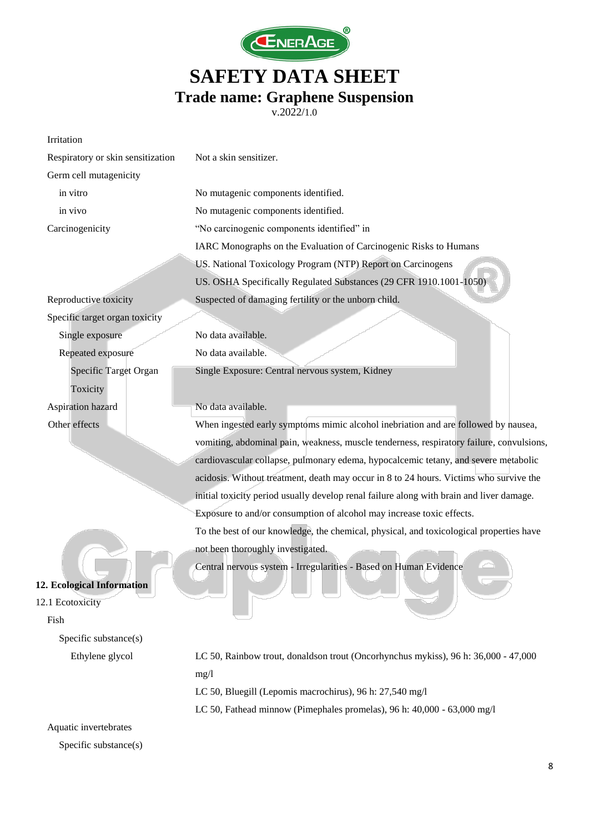

|                                   | Traut namit. Oraphthe buspension<br>v.2022/1.0                                           |
|-----------------------------------|------------------------------------------------------------------------------------------|
| Irritation                        |                                                                                          |
| Respiratory or skin sensitization | Not a skin sensitizer.                                                                   |
| Germ cell mutagenicity            |                                                                                          |
| in vitro                          | No mutagenic components identified.                                                      |
| in vivo                           | No mutagenic components identified.                                                      |
| Carcinogenicity                   | "No carcinogenic components identified" in                                               |
|                                   | IARC Monographs on the Evaluation of Carcinogenic Risks to Humans                        |
|                                   | US. National Toxicology Program (NTP) Report on Carcinogens                              |
|                                   | US. OSHA Specifically Regulated Substances (29 CFR 1910.1001-1050)                       |
| Reproductive toxicity             | Suspected of damaging fertility or the unborn child.                                     |
| Specific target organ toxicity    |                                                                                          |
| Single exposure                   | No data available.                                                                       |
| Repeated exposure                 | No data available.                                                                       |
| Specific Target Organ             | Single Exposure: Central nervous system, Kidney                                          |
| Toxicity                          |                                                                                          |
| Aspiration hazard                 | No data available.                                                                       |
| Other effects                     | When ingested early symptoms mimic alcohol inebriation and are followed by nausea,       |
|                                   | vomiting, abdominal pain, weakness, muscle tenderness, respiratory failure, convulsions, |
|                                   | cardiovascular collapse, pulmonary edema, hypocalcemic tetany, and severe metabolic      |
|                                   | acidosis. Without treatment, death may occur in 8 to 24 hours. Victims who survive the   |
|                                   | initial toxicity period usually develop renal failure along with brain and liver damage. |
|                                   | Exposure to and/or consumption of alcohol may increase toxic effects.                    |
|                                   | To the best of our knowledge, the chemical, physical, and toxicological properties have  |
|                                   | not been thoroughly investigated.                                                        |
|                                   | Central nervous system - Irregularities - Based on Human Evidence                        |
| 12. Ecological Information        |                                                                                          |
| 12.1 Ecotoxicity                  |                                                                                          |
| Fish                              |                                                                                          |
| Specific substance(s)             |                                                                                          |
| Ethylene glycol                   | LC 50, Rainbow trout, donaldson trout (Oncorhynchus mykiss), 96 h: 36,000 - 47,000       |
|                                   | mg/1                                                                                     |
|                                   | LC 50, Bluegill (Lepomis macrochirus), 96 h: 27,540 mg/l                                 |
|                                   | LC 50, Fathead minnow (Pimephales promelas), 96 h: 40,000 - 63,000 mg/l                  |
| Aquatic invertebrates             |                                                                                          |

Specific substance(s)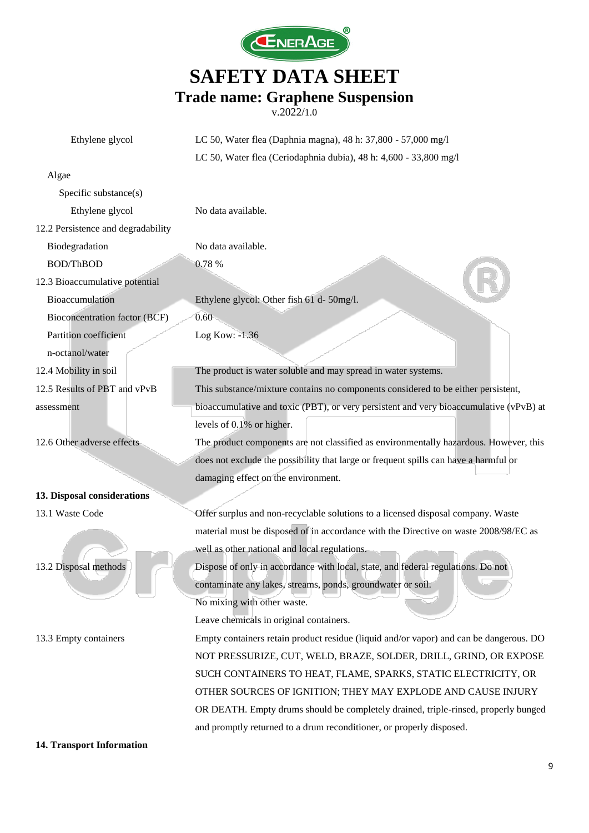

v.2022/1.0

| Ethylene glycol                    | LC 50, Water flea (Daphnia magna), 48 h: 37,800 - 57,000 mg/l                          |
|------------------------------------|----------------------------------------------------------------------------------------|
|                                    | LC 50, Water flea (Ceriodaphnia dubia), 48 h: 4,600 - 33,800 mg/l                      |
| Algae                              |                                                                                        |
| Specific substance(s)              |                                                                                        |
| Ethylene glycol                    | No data available.                                                                     |
| 12.2 Persistence and degradability |                                                                                        |
| Biodegradation                     | No data available.                                                                     |
| BOD/ThBOD                          | 0.78 %                                                                                 |
| 12.3 Bioaccumulative potential     |                                                                                        |
| Bioaccumulation                    | Ethylene glycol: Other fish 61 d- 50mg/l.                                              |
| Bioconcentration factor (BCF)      | 0.60                                                                                   |
| Partition coefficient              | Log Kow: -1.36                                                                         |
| n-octanol/water                    |                                                                                        |
| 12.4 Mobility in soil              | The product is water soluble and may spread in water systems.                          |
| 12.5 Results of PBT and vPvB       | This substance/mixture contains no components considered to be either persistent,      |
| assessment                         | bioaccumulative and toxic (PBT), or very persistent and very bioaccumulative (vPvB) at |
|                                    | levels of 0.1% or higher.                                                              |
| 12.6 Other adverse effects         | The product components are not classified as environmentally hazardous. However, this  |
|                                    | does not exclude the possibility that large or frequent spills can have a harmful or   |
|                                    | damaging effect on the environment.                                                    |
| 13. Disposal considerations        |                                                                                        |
| 13.1 Waste Code                    | Offer surplus and non-recyclable solutions to a licensed disposal company. Waste       |
|                                    | material must be disposed of in accordance with the Directive on waste 2008/98/EC as   |
|                                    | well as other national and local regulations.                                          |
| 13.2 Disposal methods              | Dispose of only in accordance with local, state, and federal regulations. Do not       |
|                                    | contaminate any lakes, streams, ponds, groundwater or soil.                            |
|                                    | No mixing with other waste.                                                            |
|                                    | Leave chemicals in original containers.                                                |
| 13.3 Empty containers              | Empty containers retain product residue (liquid and/or vapor) and can be dangerous. DO |
|                                    | NOT PRESSURIZE, CUT, WELD, BRAZE, SOLDER, DRILL, GRIND, OR EXPOSE                      |
|                                    | SUCH CONTAINERS TO HEAT, FLAME, SPARKS, STATIC ELECTRICITY, OR                         |
|                                    | OTHER SOURCES OF IGNITION; THEY MAY EXPLODE AND CAUSE INJURY                           |
|                                    | OR DEATH. Empty drums should be completely drained, triple-rinsed, properly bunged     |
|                                    | and promptly returned to a drum reconditioner, or properly disposed.                   |

**14. Transport Information**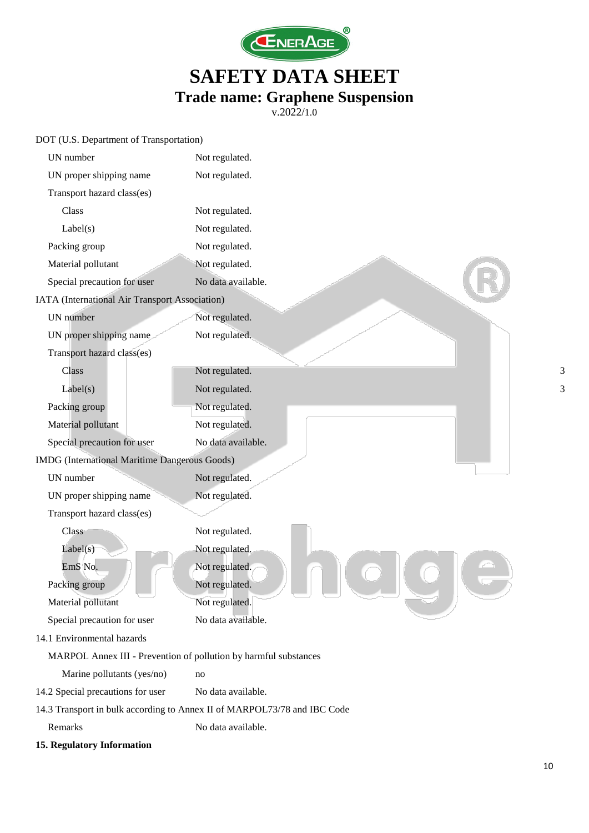

v.2022/1.0

| DOT (U.S. Department of Transportation)                          |                                                                          |
|------------------------------------------------------------------|--------------------------------------------------------------------------|
| UN number                                                        | Not regulated.                                                           |
| UN proper shipping name                                          | Not regulated.                                                           |
| Transport hazard class(es)                                       |                                                                          |
| Class                                                            | Not regulated.                                                           |
| Label(s)                                                         | Not regulated.                                                           |
| Packing group                                                    | Not regulated.                                                           |
| Material pollutant                                               | Not regulated.                                                           |
| Special precaution for user                                      | No data available.                                                       |
| IATA (International Air Transport Association)                   |                                                                          |
| UN number                                                        | Not regulated.                                                           |
| UN proper shipping name                                          | Not regulated.                                                           |
| Transport hazard class(es)                                       |                                                                          |
| Class                                                            | Not regulated.<br>3                                                      |
| Label(s)                                                         | Not regulated.<br>3                                                      |
| Packing group                                                    | Not regulated.                                                           |
| Material pollutant                                               | Not regulated.                                                           |
| Special precaution for user                                      | No data available.                                                       |
| IMDG (International Maritime Dangerous Goods)                    |                                                                          |
| UN number                                                        | Not regulated.                                                           |
| UN proper shipping name                                          | Not regulated.                                                           |
| Transport hazard class(es)                                       |                                                                          |
| Class                                                            | Not regulated.                                                           |
| Label(s)                                                         | Not regulated.                                                           |
| EmS No.                                                          | Not regulated.                                                           |
| Packing group                                                    | Not regulated.                                                           |
| Material pollutant                                               | Not regulated.                                                           |
| Special precaution for user                                      | No data available.                                                       |
| 14.1 Environmental hazards                                       |                                                                          |
| MARPOL Annex III - Prevention of pollution by harmful substances |                                                                          |
| Marine pollutants (yes/no)                                       | no                                                                       |
| 14.2 Special precautions for user                                | No data available.                                                       |
|                                                                  | 14.3 Transport in bulk according to Annex II of MARPOL73/78 and IBC Code |
| Remarks                                                          | No data available.                                                       |
|                                                                  |                                                                          |

**15. Regulatory Information**

10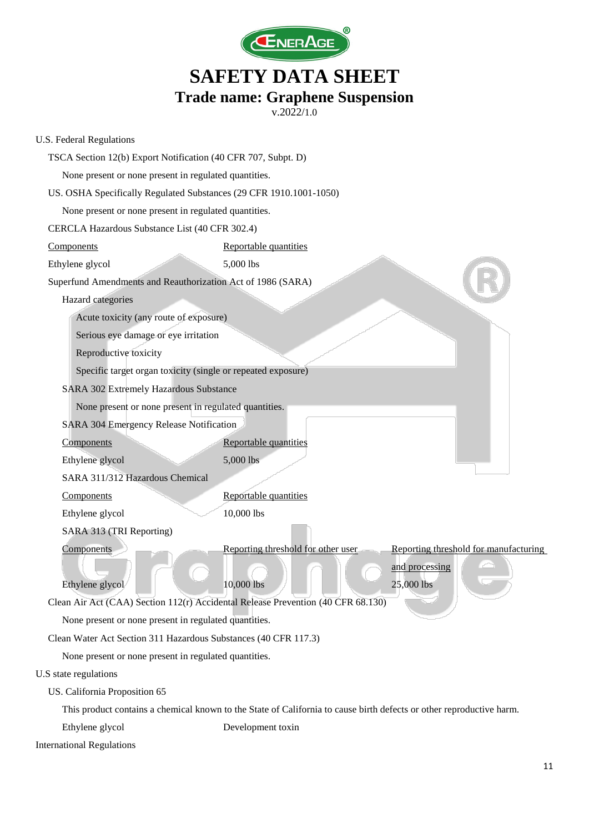

| U.S. Federal Regulations                                                         |                                                                                                                      |
|----------------------------------------------------------------------------------|----------------------------------------------------------------------------------------------------------------------|
| TSCA Section 12(b) Export Notification (40 CFR 707, Subpt. D)                    |                                                                                                                      |
| None present or none present in regulated quantities.                            |                                                                                                                      |
| US. OSHA Specifically Regulated Substances (29 CFR 1910.1001-1050)               |                                                                                                                      |
| None present or none present in regulated quantities.                            |                                                                                                                      |
| CERCLA Hazardous Substance List (40 CFR 302.4)                                   |                                                                                                                      |
| Components                                                                       | Reportable quantities                                                                                                |
| Ethylene glycol                                                                  | 5,000 lbs                                                                                                            |
| Superfund Amendments and Reauthorization Act of 1986 (SARA)                      |                                                                                                                      |
| Hazard categories                                                                |                                                                                                                      |
| Acute toxicity (any route of exposure)                                           |                                                                                                                      |
| Serious eye damage or eye irritation                                             |                                                                                                                      |
| Reproductive toxicity                                                            |                                                                                                                      |
| Specific target organ toxicity (single or repeated exposure)                     |                                                                                                                      |
| SARA 302 Extremely Hazardous Substance                                           |                                                                                                                      |
| None present or none present in regulated quantities.                            |                                                                                                                      |
| SARA 304 Emergency Release Notification                                          |                                                                                                                      |
| Components                                                                       | Reportable quantities                                                                                                |
| Ethylene glycol                                                                  | 5,000 lbs                                                                                                            |
| SARA 311/312 Hazardous Chemical                                                  |                                                                                                                      |
| Components                                                                       | Reportable quantities                                                                                                |
| Ethylene glycol                                                                  | 10,000 lbs                                                                                                           |
| SARA 313 (TRI Reporting)                                                         |                                                                                                                      |
| Components                                                                       | Reporting threshold for other user<br>Reporting threshold for manufacturing                                          |
|                                                                                  | and processing                                                                                                       |
| Ethylene glycol                                                                  | 10,000 lbs<br>25,000 lbs                                                                                             |
| Clean Air Act (CAA) Section 112(r) Accidental Release Prevention (40 CFR 68.130) |                                                                                                                      |
| None present or none present in regulated quantities.                            |                                                                                                                      |
| Clean Water Act Section 311 Hazardous Substances (40 CFR 117.3)                  |                                                                                                                      |
| None present or none present in regulated quantities.                            |                                                                                                                      |
| U.S state regulations                                                            |                                                                                                                      |
| US. California Proposition 65                                                    |                                                                                                                      |
|                                                                                  | This product contains a chemical known to the State of California to cause birth defects or other reproductive harm. |
| Ethylene glycol                                                                  | Development toxin                                                                                                    |
| <b>International Regulations</b>                                                 |                                                                                                                      |